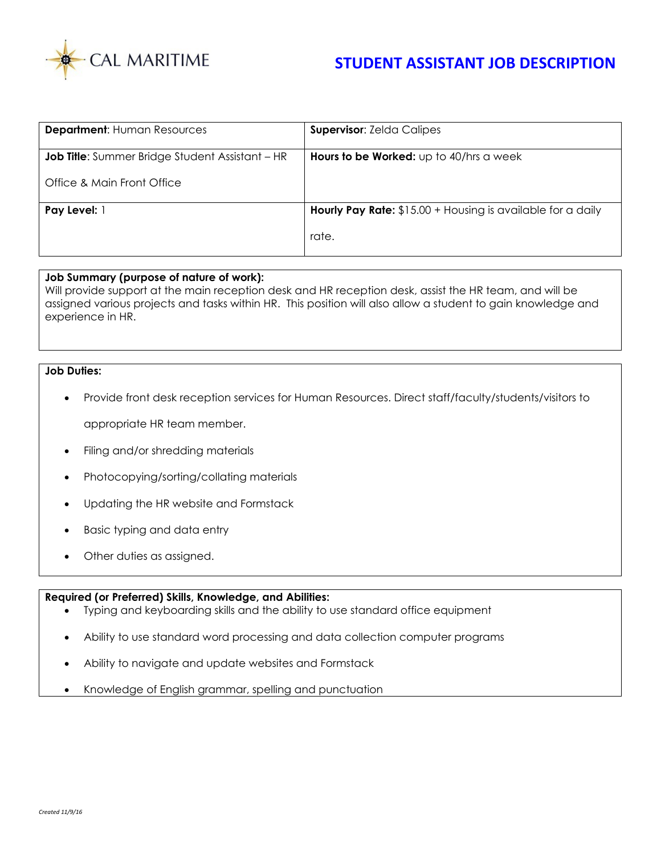

| <b>Department: Human Resources</b>                     | <b>Supervisor: Zelda Calipes</b>                                   |
|--------------------------------------------------------|--------------------------------------------------------------------|
| <b>Job Title:</b> Summer Bridge Student Assistant – HR | Hours to be Worked: up to 40/hrs a week                            |
| Office & Main Front Office                             |                                                                    |
| Pay Level: 1                                           | <b>Hourly Pay Rate:</b> \$15.00 + Housing is available for a daily |
|                                                        | rate.                                                              |

## **Job Summary (purpose of nature of work):**

Will provide support at the main reception desk and HR reception desk, assist the HR team, and will be assigned various projects and tasks within HR. This position will also allow a student to gain knowledge and experience in HR.

## **Job Duties:**

- Provide front desk reception services for Human Resources. Direct staff/faculty/students/visitors to appropriate HR team member.
- Filing and/or shredding materials
- Photocopying/sorting/collating materials
- Updating the HR website and Formstack
- Basic typing and data entry
- Other duties as assigned.

## **Required (or Preferred) Skills, Knowledge, and Abilities:**

- Typing and keyboarding skills and the ability to use standard office equipment
- Ability to use standard word processing and data collection computer programs
- Ability to navigate and update websites and Formstack
- Knowledge of English grammar, spelling and punctuation